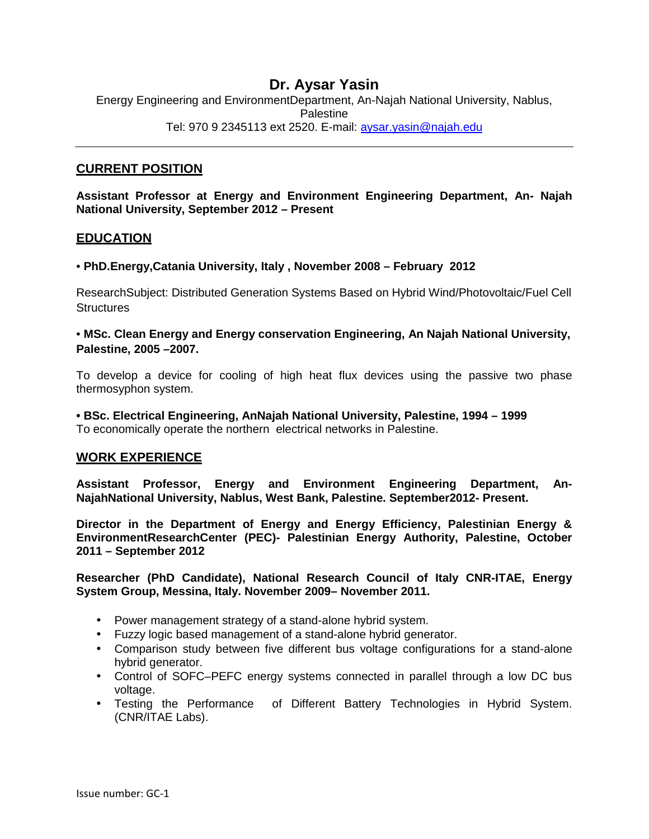# **Dr. Aysar Yasin**

Energy Engineering and EnvironmentDepartment, An-Najah National University, Nablus, **Palestine** Tel: 970 9 2345113 ext 2520. E-mail: aysar.yasin@najah.edu

### **CURRENT POSITION**

**Assistant Professor at Energy and Environment Engineering Department, An- Najah National University, September 2012 – Present**

### **EDUCATION**

#### • **PhD.Energy,Catania University, Italy , November 2008 – February 2012**

ResearchSubject: Distributed Generation Systems Based on Hybrid Wind/Photovoltaic/Fuel Cell **Structures** 

### • **MSc. Clean Energy and Energy conservation Engineering, An Najah National University, Palestine, 2005 –2007.**

To develop a device for cooling of high heat flux devices using the passive two phase thermosyphon system.

**• BSc. Electrical Engineering, AnNajah National University, Palestine, 1994 – 1999** To economically operate the northern electrical networks in Palestine.

### **WORK EXPERIENCE**

**Assistant Professor, Energy and Environment Engineering Department, An- NajahNational University, Nablus, West Bank, Palestine. September2012- Present.**

**Director in the Department of Energy and Energy Efficiency, Palestinian Energy & EnvironmentResearchCenter (PEC)- Palestinian Energy Authority, Palestine, October 2011 – September 2012**

**Researcher (PhD Candidate), National Research Council of Italy CNR-ITAE, Energy System Group, Messina, Italy. November 2009– November 2011.**

- Power management strategy of a stand-alone hybrid system.
- Fuzzy logic based management of a stand-alone hybrid generator.
- Comparison study between five different bus voltage configurations for a stand-alone hybrid generator.
- Control of SOFC–PEFC energy systems connected in parallel through a low DC bus voltage.
- Testing the Performance of Different Battery Technologies in Hybrid System. (CNR/ITAE Labs).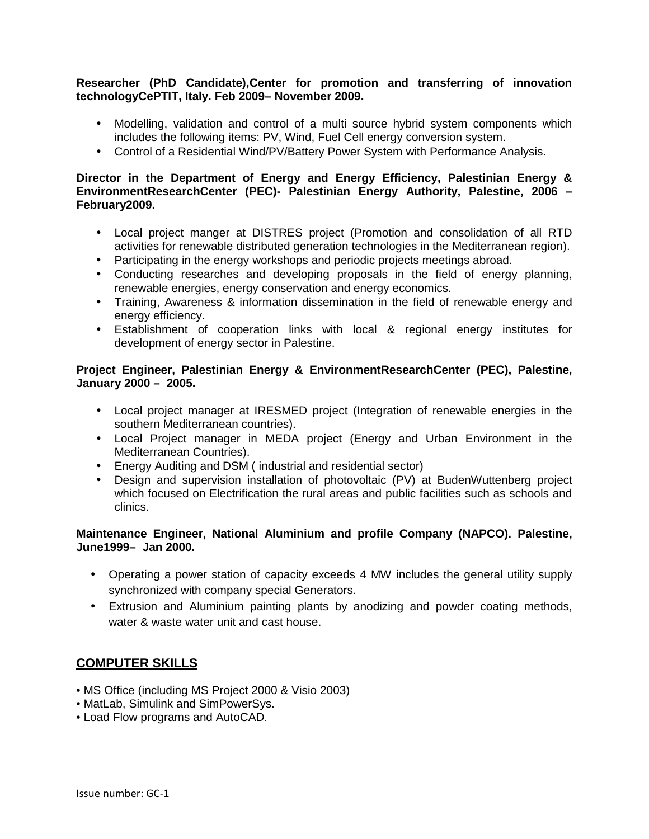#### **Researcher (PhD Candidate),Center for promotion and transferring of innovation technologyCePTIT, Italy. Feb 2009– November 2009.**

- Modelling, validation and control of a multi source hybrid system components which includes the following items: PV, Wind, Fuel Cell energy conversion system.
- Control of a Residential Wind/PV/Battery Power System with Performance Analysis.

### **Director in the Department of Energy and Energy Efficiency, Palestinian Energy & EnvironmentResearchCenter (PEC)- Palestinian Energy Authority, Palestine, 2006 – February2009.**

- Local project manger at DISTRES project (Promotion and consolidation of all RTD activities for renewable distributed generation technologies in the Mediterranean region).
- Participating in the energy workshops and periodic projects meetings abroad.
- Conducting researches and developing proposals in the field of energy planning, renewable energies, energy conservation and energy economics.
- Training, Awareness & information dissemination in the field of renewable energy and energy efficiency.
- Establishment of cooperation links with local & regional energy institutes for development of energy sector in Palestine.

### **Project Engineer, Palestinian Energy & EnvironmentResearchCenter (PEC), Palestine, January 2000 – 2005.**

- Local project manager at IRESMED project (Integration of renewable energies in the southern Mediterranean countries).
- Local Project manager in MEDA project (Energy and Urban Environment in the Mediterranean Countries).
- Energy Auditing and DSM ( industrial and residential sector)
- Design and supervision installation of photovoltaic (PV) at BudenWuttenberg project which focused on Electrification the rural areas and public facilities such as schools and clinics.

### **Maintenance Engineer, National Aluminium and profile Company (NAPCO). Palestine, June1999– Jan 2000.**

- Operating a power station of capacity exceeds 4 MW includes the general utility supply synchronized with company special Generators.
- Extrusion and Aluminium painting plants by anodizing and powder coating methods, water & waste water unit and cast house.

## **COMPUTER SKILLS**

- MS Office (including MS Project 2000 & Visio 2003)
- MatLab, Simulink and SimPowerSys.
- Load Flow programs and AutoCAD.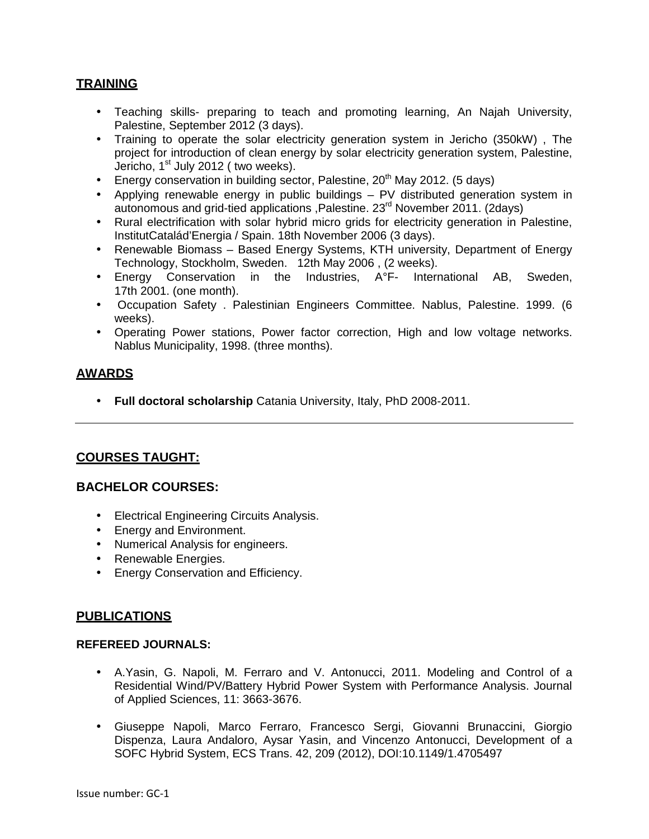## **TRAINING**

- Teaching skills- preparing to teach and promoting learning, An Najah University, Palestine, September 2012 (3 days).
- Training to operate the solar electricity generation system in Jericho (350kW) , The project for introduction of clean energy by solar electricity generation system, Palestine, Jericho, 1<sup>st</sup> July 2012 ( two weeks).
- Energy conservation in building sector, Palestine,  $20<sup>th</sup>$  May 2012. (5 days)
- Applying renewable energy in public buildings PV distributed generation system in autonomous and grid-tied applications ,Palestine. 23rd November 2011. (2days)
- Rural electrification with solar hybrid micro grids for electricity generation in Palestine, InstitutCatalád'Energia / Spain. 18th November 2006 (3 days).
- Renewable Biomass Based Energy Systems, KTH university, Department of Energy Technology, Stockholm, Sweden. 12th May 2006 , (2 weeks).
- Energy Conservation in the Industries, A°F- International AB, Sweden, 17th 2001. (one month).
- Occupation Safety . Palestinian Engineers Committee. Nablus, Palestine. 1999. (6 weeks).
- Operating Power stations, Power factor correction, High and low voltage networks. Nablus Municipality, 1998. (three months).

## **AWARDS**

**Full doctoral scholarship** Catania University, Italy, PhD 2008-2011.

# **COURSES TAUGHT:**

## **BACHELOR COURSES:**

- Electrical Engineering Circuits Analysis.
- **Energy and Environment.**
- Numerical Analysis for engineers.
- Renewable Energies.
- **•** Energy Conservation and Efficiency.

## **PUBLICATIONS**

#### **REFEREED JOURNALS:**

- A.Yasin, G. Napoli, M. Ferraro and V. Antonucci, 2011. Modeling and Control of a Residential Wind/PV/Battery Hybrid Power System with Performance Analysis. Journal of Applied Sciences, 11: 3663-3676.
- Giuseppe Napoli, Marco Ferraro, Francesco Sergi, Giovanni Brunaccini, Giorgio Dispenza, Laura Andaloro, Aysar Yasin, and Vincenzo Antonucci, Development of a SOFC Hybrid System, ECS Trans. 42, 209 (2012), DOI:10.1149/1.4705497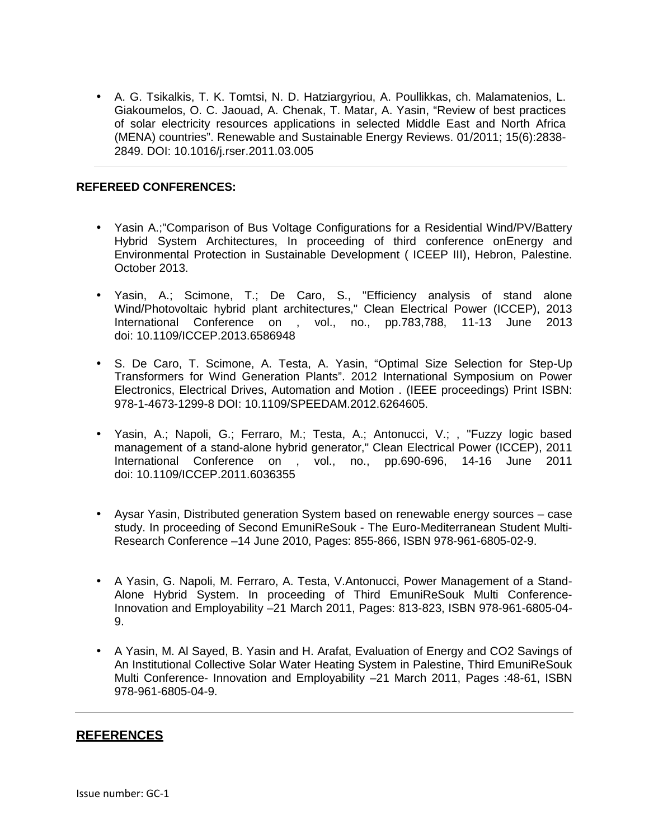A. G. Tsikalkis, T. K. Tomtsi, N. D. Hatziargyriou, A. Poullikkas, ch. Malamatenios, L. Giakoumelos, O. C. Jaouad, A. Chenak, T. Matar, A. Yasin, "Review of best practices of solar electricity resources applications in selected Middle East and North Africa (MENA) countries". Renewable and Sustainable Energy Reviews. 01/2011; 15(6):2838- 2849. DOI: 10.1016/j.rser.2011.03.005

#### **REFEREED CONFERENCES:**

- Yasin A.;"Comparison of Bus Voltage Configurations for a Residential Wind/PV/Battery Hybrid System Architectures, In proceeding of third conference onEnergy and Environmental Protection in Sustainable Development ( ICEEP III), Hebron, Palestine. October 2013.
- Yasin, A.; Scimone, T.; De Caro, S., "Efficiency analysis of stand alone Wind/Photovoltaic hybrid plant architectures," Clean Electrical Power (ICCEP), 2013 International Conference on , vol., no., pp.783,788, 11-13 June 2013 doi: 10.1109/ICCEP.2013.6586948
- S. De Caro, T. Scimone, A. Testa, A. Yasin, "Optimal Size Selection for Step-Up Transformers for Wind Generation Plants". 2012 International Symposium on Power Electronics, Electrical Drives, Automation and Motion . (IEEE proceedings) Print ISBN: 978-1-4673-1299-8 DOI: 10.1109/SPEEDAM.2012.6264605.
- Yasin, A.; Napoli, G.; Ferraro, M.; Testa, A.; Antonucci, V.; , "Fuzzy logic based management of a stand-alone hybrid generator," Clean Electrical Power (ICCEP), 2011 International Conference on , vol., no., pp.690-696, 14-16 June 2011 doi: 10.1109/ICCEP.2011.6036355
- Aysar Yasin, Distributed generation System based on renewable energy sources case study. In proceeding of Second EmuniReSouk - The Euro-Mediterranean Student Multi- Research Conference –14 June 2010, Pages: 855-866, ISBN 978-961-6805-02-9.
- A Yasin, G. Napoli, M. Ferraro, A. Testa, V.Antonucci, Power Management of a Stand- Alone Hybrid System. In proceeding of Third EmuniReSouk Multi Conference-Innovation and Employability –21 March 2011, Pages: 813-823, ISBN 978-961-6805-04- 9.
- A Yasin, M. Al Sayed, B. Yasin and H. Arafat, Evaluation of Energy and CO2 Savings of An Institutional Collective Solar Water Heating System in Palestine, Third EmuniReSouk Multi Conference- Innovation and Employability –21 March 2011, Pages :48-61, ISBN 978-961-6805-04-9.

#### **REFERENCES**